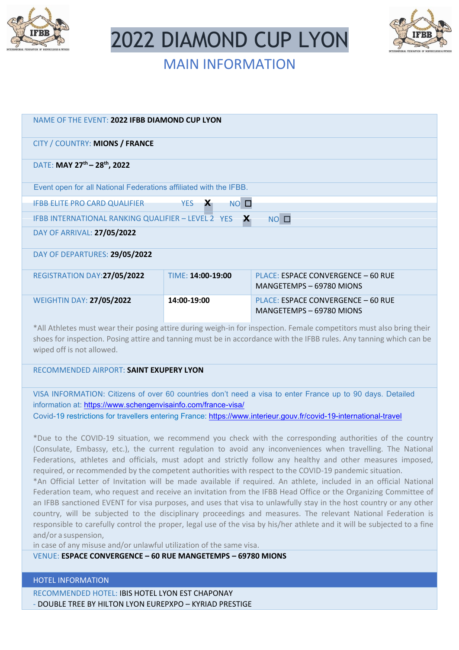

2022 DIAMOND CUP LYON



# MAIN INFORMATION

| NAME OF THE EVENT: 2022 IFBB DIAMOND CUP LYON                                                                        |                                        |                                                                |
|----------------------------------------------------------------------------------------------------------------------|----------------------------------------|----------------------------------------------------------------|
| CITY / COUNTRY: MIONS / FRANCE                                                                                       |                                        |                                                                |
| DATE: MAY 27 <sup>th</sup> - 28 <sup>th</sup> , 2022                                                                 |                                        |                                                                |
| Event open for all National Federations affiliated with the IFBB.                                                    |                                        |                                                                |
| <b>IFBB ELITE PRO CARD QUALIFIER</b>                                                                                 | <b>YES</b><br>$\mathbf{x}$<br>$NO$ $D$ |                                                                |
| $NO$ $D$<br>IFBB INTERNATIONAL RANKING QUALIFIER - LEVEL 2 YES $\mathbf{X}$                                          |                                        |                                                                |
| DAY OF ARRIVAL: 27/05/2022                                                                                           |                                        |                                                                |
| DAY OF DEPARTURES: 29/05/2022                                                                                        |                                        |                                                                |
| REGISTRATION DAY:27/05/2022                                                                                          | TIME: 14:00-19:00                      | PLACE: ESPACE CONVERGENCE - 60 RUE<br>MANGETEMPS - 69780 MIONS |
| <b>WEIGHTIN DAY: 27/05/2022</b>                                                                                      | 14:00-19:00                            | PLACE: ESPACE CONVERGENCE - 60 RUE<br>MANGETEMPS - 69780 MIONS |
| *All Athletes must wear their posing attire during weigh-in for inspection. Female competitors must also bring their |                                        |                                                                |

\*All Athletes must wear their posing attire during weigh-in for inspection. Female competitors must also bring their shoes for inspection. Posing attire and tanning must be in accordance with the IFBB rules. Any tanning which can be wiped off is not allowed.

# RECOMMENDED AIRPORT: **SAINT EXUPERY LYON**

VISA INFORMATION: Citizens of over 60 countries don't need a visa to enter France up to 90 days. Detailed information at:<https://www.schengenvisainfo.com/france-visa/>

Covid-19 restrictions for travellers entering France:<https://www.interieur.gouv.fr/covid-19-international-travel>

\*Due to the COVID-19 situation, we recommend you check with the corresponding authorities of the country (Consulate, Embassy, etc.), the current regulation to avoid any inconveniences when travelling. The National Federations, athletes and officials, must adopt and strictly follow any healthy and other measures imposed, required, or recommended by the competent authorities with respect to the COVID-19 pandemic situation.

\*An Official Letter of Invitation will be made available if required. An athlete, included in an official National Federation team, who request and receive an invitation from the IFBB Head Office or the Organizing Committee of an IFBB sanctioned EVENT for visa purposes, and uses that visa to unlawfully stay in the host country or any other country, will be subjected to the disciplinary proceedings and measures. The relevant National Federation is responsible to carefully control the proper, legal use of the visa by his/her athlete and it will be subjected to a fine and/or a suspension,

in case of any misuse and/or unlawful utilization of the same visa.

# VENUE: **ESPACE CONVERGENCE – 60 RUE MANGETEMPS – 69780 MIONS**

# HOTEL INFORMATION

RECOMMENDED HOTEL: IBIS HOTEL LYON EST CHAPONAY - DOUBLE TREE BY HILTON LYON EUREPXPO – KYRIAD PRESTIGE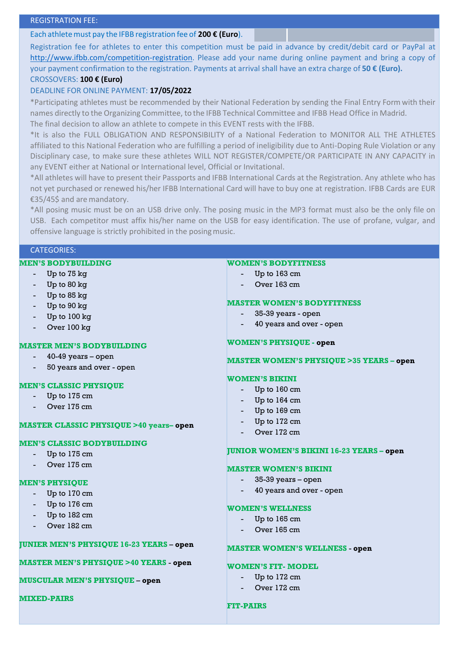## REGISTRATION FEE:

## Each athletemust pay the **200** IFBB **€** registration fee of **200 € (Euro**).

Registration fee for athletes to enter this competition must be paid in advance by credit/debit card or PayPal at [http://www.ifbb.com/competition-registration.](http://www.ifbb.com/competition-registration) Please add your name during online payment and bring a copy of your payment confirmation to the registration. Payments at arrival shall have an extra charge of **50 € (Euro).**

## CROSSOVERS: **100 € (Euro)**

# DEADLINE FOR ONLINE PAYMENT: **17/05/2022**

\*Participating athletes must be recommended by their National Federation by sending the Final Entry Form with their names directly to the Organizing Committee, to the IFBB Technical Committee and IFBB Head Office in Madrid. The final decision to allow an athlete to compete in this EVENT rests with the IFBB.

\*It is also the FULL OBLIGATION AND RESPONSIBILITY of a National Federation to MONITOR ALL THE ATHLETES affiliated to this National Federation who are fulfilling a period of ineligibility due to Anti-Doping Rule Violation or any Disciplinary case, to make sure these athletes WILL NOT REGISTER/COMPETE/OR PARTICIPATE IN ANY CAPACITY in any EVENT either at National or International level, Official or Invitational.

\*All athletes will have to present their Passports and IFBB International Cards at the Registration. Any athlete who has not yet purchased or renewed his/her IFBB International Card will have to buy one at registration. IFBB Cards are EUR €35/45\$ and are mandatory.

\*All posing music must be on an USB drive only. The posing music in the MP3 format must also be the only file on USB. Each competitor must affix his/her name on the USB for easy identification. The use of profane, vulgar, and offensive language is strictly prohibited in the posingmusic.

## CATEGORIES:

## **MEN'S BODYBUILDING**

- Up to 75 kg
- Up to 80 kg
- Up to 85 kg
- Up to 90 kg
- Up to 100 kg
- Over 100 kg

## **MASTER MEN'S BODYBUILDING**

- $40-49$  years open
- 50 years and over open

#### **MEN'S CLASSIC PHYSIQUE**

- Up to 175 cm
- Over 175 cm

#### **MASTER CLASSIC PHYSIQUE >40 years– open**

## **MEN'S CLASSIC BODYBUILDING**

- Up to 175 cm
- Over 175 cm

#### **MEN'S PHYSIQUE**

- Up to 170 cm
- Up to 176 cm
- Up to 182 cm
- Over 182 cm

## **JUNIER MEN'S PHYSIQUE 16-23 YEARS** – **open**

**MASTER MEN'S PHYSIQUE >40 YEARS** - **open**

#### **MUSCULAR MEN'S PHYSIQUE** – **open**

## **MIXED-PAIRS**

#### **WOMEN'S BODYFITNESS**

- Up to 163 cm
- Over 163 cm

## **MASTER WOMEN'S BODYFITNESS**

- 35-39 years open
- 40 years and over open

## **WOMEN'S PHYSIQUE - open**

#### **MASTER WOMEN'S PHYSIQUE >35 YEARS – open**

#### **WOMEN'S BIKINI**

- Up to 160 cm
- Up to 164 cm
- Up to 169 cm
- Up to 172 cm
- Over 172 cm

#### **JUNIOR WOMEN'S BIKINI 16-23 YEARS – open**

#### **MASTER WOMEN'S BIKINI**

- 35-39 years open
- 40 years and over open

#### **WOMEN'S WELLNESS**

- Up to 165 cm
- Over 165 cm

### **MASTER WOMEN'S WELLNESS** - **open**

#### **WOMEN'S FIT- MODEL**

- Up to 172 cm
- Over 172 cm

#### **FIT-PAIRS**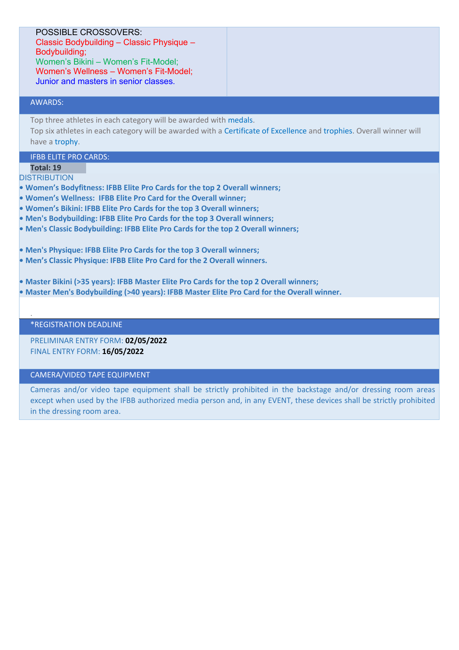# POSSIBLE CROSSOVERS:

Classic Bodybuilding – Classic Physique – Bodybuilding; Women's Bikini – Women's Fit-Model; Women's Wellness – Women's Fit-Model; Junior and masters in senior classes.

## AWARDS:

Top three athletes in each category will be awarded with medals.

Top six athletes in each category will be awarded with a Certificate of Excellence and trophies. Overall winner will have a trophy.

# IFBB ELITE PRO CARDS:

**Total: 19**

.

**DISTRIBUTION** 

- **Women's Bodyfitness: IFBB Elite Pro Cards for the top 2 Overall winners;**
- **Women's Wellness: IFBB Elite Pro Card for the Overall winner;**
- **Women's Bikini: IFBB Elite Pro Cards for the top 3 Overall winners;**
- **Men's Bodybuilding: IFBB Elite Pro Cards for the top 3 Overall winners;**
- **Men's Classic Bodybuilding: IFBB Elite Pro Cards for the top 2 Overall winners;**
- **Men's Physique: IFBB Elite Pro Cards for the top 3 Overall winners;**
- **Men's Classic Physique: IFBB Elite Pro Card for the 2 Overall winners.**
- **Master Bikini (>35 years): IFBB Master Elite Pro Cards for the top 2 Overall winners;**
- **Master Men's Bodybuilding (>40 years): IFBB Master Elite Pro Card for the Overall winner.**

## \*REGISTRATION DEADLINE

PRELIMINAR ENTRY FORM: **02/05/2022** FINAL ENTRY FORM: **16/05/2022**

## CAMERA/VIDEO TAPE EQUIPMENT

Cameras and/or video tape equipment shall be strictly prohibited in the backstage and/or dressing room areas except when used by the IFBB authorized media person and, in any EVENT, these devices shall be strictly prohibited in the dressing room area.